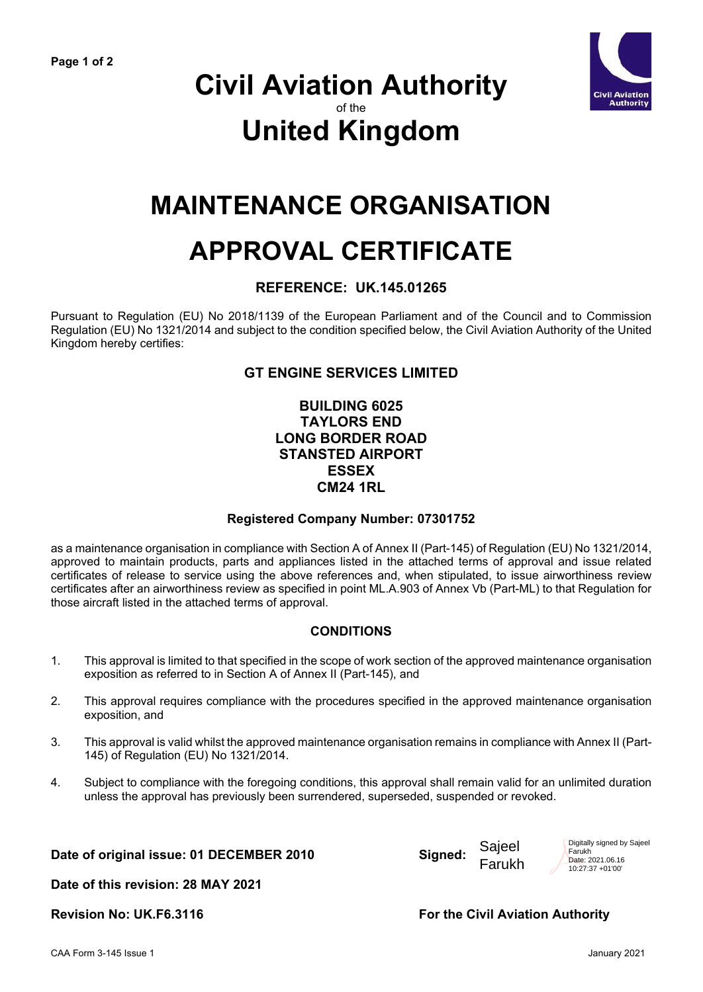

### **Civil Aviation Authority** of the **United Kingdom**

## **MAINTENANCE ORGANISATION**

# **APPROVAL CERTIFICATE**

#### **REFERENCE: UK.145.01265**

Pursuant to Regulation (EU) No 2018/1139 of the European Parliament and of the Council and to Commission Regulation (EU) No 1321/2014 and subject to the condition specified below, the Civil Aviation Authority of the United Kingdom hereby certifies:

#### **GT ENGINE SERVICES LIMITED**

#### **BUILDING 6025 TAYLORS END LONG BORDER ROAD STANSTED AIRPORT ESSEX CM24 1RL**

#### **Registered Company Number: 07301752**

as a maintenance organisation in compliance with Section A of Annex II (Part-145) of Regulation (EU) No 1321/2014, approved to maintain products, parts and appliances listed in the attached terms of approval and issue related certificates of release to service using the above references and, when stipulated, to issue airworthiness review certificates after an airworthiness review as specified in point ML.A.903 of Annex Vb (Part-ML) to that Regulation for those aircraft listed in the attached terms of approval.

#### **CONDITIONS**

- 1. This approval is limited to that specified in the scope of work section of the approved maintenance organisation exposition as referred to in Section A of Annex II (Part-145), and
- 2. This approval requires compliance with the procedures specified in the approved maintenance organisation exposition, and
- 3. This approval is valid whilst the approved maintenance organisation remains in compliance with Annex II (Part-145) of Regulation (EU) No 1321/2014.
- 4. Subject to compliance with the foregoing conditions, this approval shall remain valid for an unlimited duration unless the approval has previously been surrendered, superseded, suspended or revoked.

**Date of original issue: 01 DECEMBER 2010 Signed:**

**Date of this revision: 28 MAY 2021**

Sajeel Farukh Digitally signed by Sajeel Farukh Date: 2021.06.16 10:27:37 +01'00'

**Revision No: UK.F6.3116 The Civil Aviation Authority For the Civil Aviation Authority**